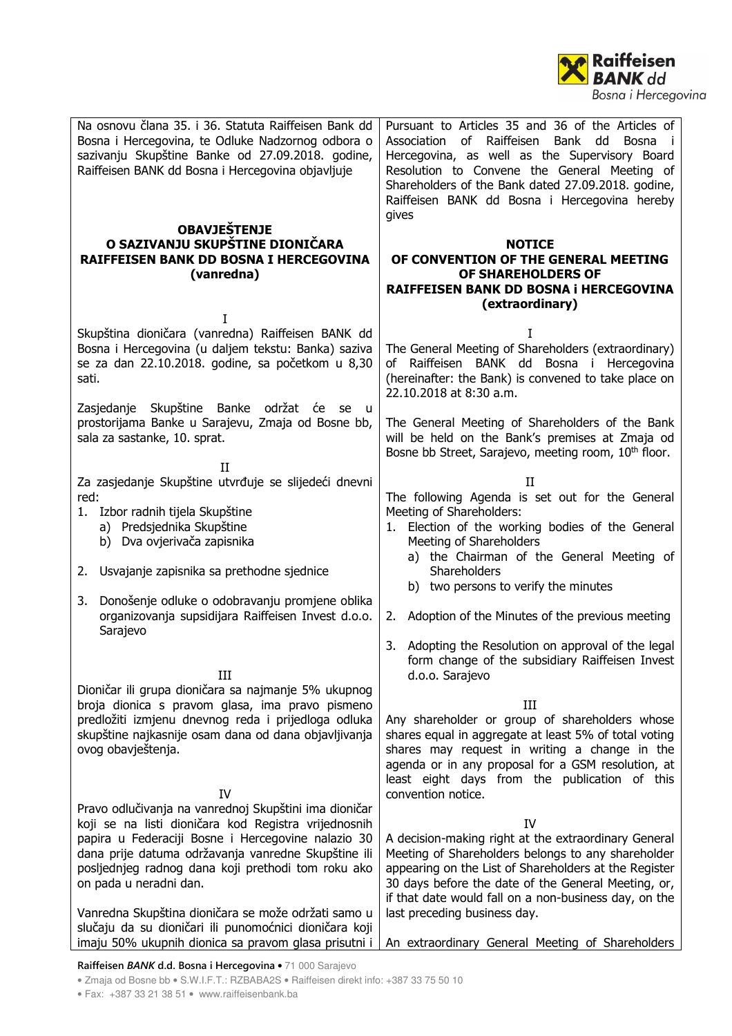

| Na osnovu člana 35. i 36. Statuta Raiffeisen Bank dd<br>Bosna i Hercegovina, te Odluke Nadzornog odbora o<br>sazivanju Skupštine Banke od 27.09.2018. godine,<br>Raiffeisen BANK dd Bosna i Hercegovina objavljuje<br><b>OBAVJEŠTENJE</b>                                                                                                                               | Pursuant to Articles 35 and 36 of the Articles of<br>of Raiffeisen<br>Bank<br>Association<br>dd<br>Bosna<br>$\blacksquare$<br>Hercegovina, as well as the Supervisory Board<br>Resolution to Convene the General Meeting of<br>Shareholders of the Bank dated 27.09.2018. godine,<br>Raiffeisen BANK dd Bosna i Hercegovina hereby<br>gives     |
|-------------------------------------------------------------------------------------------------------------------------------------------------------------------------------------------------------------------------------------------------------------------------------------------------------------------------------------------------------------------------|-------------------------------------------------------------------------------------------------------------------------------------------------------------------------------------------------------------------------------------------------------------------------------------------------------------------------------------------------|
| O SAZIVANJU SKUPŠTINE DIONIČARA<br><b>RAIFFEISEN BANK DD BOSNA I HERCEGOVINA</b><br>(vanredna)                                                                                                                                                                                                                                                                          | <b>NOTICE</b><br>OF CONVENTION OF THE GENERAL MEETING<br>OF SHAREHOLDERS OF<br>RAIFFEISEN BANK DD BOSNA i HERCEGOVINA<br>(extraordinary)                                                                                                                                                                                                        |
| Skupština dioničara (vanredna) Raiffeisen BANK dd<br>Bosna i Hercegovina (u daljem tekstu: Banka) saziva<br>se za dan 22.10.2018. godine, sa početkom u 8,30<br>sati.                                                                                                                                                                                                   | T<br>The General Meeting of Shareholders (extraordinary)<br>of Raiffeisen BANK dd Bosna i Hercegovina<br>(hereinafter: the Bank) is convened to take place on<br>22.10.2018 at 8:30 a.m.                                                                                                                                                        |
| Zasjedanje Skupštine Banke održat će se u<br>prostorijama Banke u Sarajevu, Zmaja od Bosne bb,<br>sala za sastanke, 10. sprat.<br>H                                                                                                                                                                                                                                     | The General Meeting of Shareholders of the Bank<br>will be held on the Bank's premises at Zmaja od<br>Bosne bb Street, Sarajevo, meeting room, 10 <sup>th</sup> floor.                                                                                                                                                                          |
| Za zasjedanje Skupštine utvrđuje se slijedeći dnevni<br>red:<br>1. Izbor radnih tijela Skupštine<br>a) Predsjednika Skupštine<br>b) Dva ovjerivača zapisnika                                                                                                                                                                                                            | П<br>The following Agenda is set out for the General<br>Meeting of Shareholders:<br>1. Election of the working bodies of the General<br>Meeting of Shareholders<br>a) the Chairman of the General Meeting of                                                                                                                                    |
| 2. Usvajanje zapisnika sa prethodne sjednice<br>3. Donošenje odluke o odobravanju promjene oblika                                                                                                                                                                                                                                                                       | Shareholders<br>b) two persons to verify the minutes                                                                                                                                                                                                                                                                                            |
| organizovanja supsidijara Raiffeisen Invest d.o.o.<br>Sarajevo                                                                                                                                                                                                                                                                                                          | 2. Adoption of the Minutes of the previous meeting<br>3. Adopting the Resolution on approval of the legal                                                                                                                                                                                                                                       |
| Ш<br>Dioničar ili grupa dioničara sa najmanje 5% ukupnog<br>broja dionica s pravom glasa, ima pravo pismeno<br>predložiti izmjenu dnevnog reda i prijedloga odluka<br>skupštine najkasnije osam dana od dana objavljivanja<br>ovog obavještenja.                                                                                                                        | form change of the subsidiary Raiffeisen Invest<br>d.o.o. Sarajevo<br>III<br>Any shareholder or group of shareholders whose<br>shares equal in aggregate at least 5% of total voting<br>shares may request in writing a change in the<br>agenda or in any proposal for a GSM resolution, at<br>least eight days from the publication of this    |
| IV<br>Pravo odlučivanja na vanrednoj Skupštini ima dioničar<br>koji se na listi dioničara kod Registra vrijednosnih<br>papira u Federaciji Bosne i Hercegovine nalazio 30<br>dana prije datuma održavanja vanredne Skupštine ili<br>posljednjeg radnog dana koji prethodi tom roku ako<br>on pada u neradni dan.<br>Vanredna Skupština dioničara se može održati samo u | convention notice.<br>IV<br>A decision-making right at the extraordinary General<br>Meeting of Shareholders belongs to any shareholder<br>appearing on the List of Shareholders at the Register<br>30 days before the date of the General Meeting, or,<br>if that date would fall on a non-business day, on the<br>last preceding business day. |
| slučaju da su dioničari ili punomoćnici dioničara koji<br>imaju 50% ukupnih dionica sa pravom glasa prisutni i                                                                                                                                                                                                                                                          | An extraordinary General Meeting of Shareholders                                                                                                                                                                                                                                                                                                |

**Raiffeisen** *BANK* **d.d. Bosna i Hercegovina** • 71 000 Sarajevo

• Zmaja od Bosne bb • S.W.I.F.T.: RZBABA2S • Raiffeisen direkt info: +387 33 75 50 10

• Fax: +387 33 21 38 51 • www.raiffeisenbank.ba